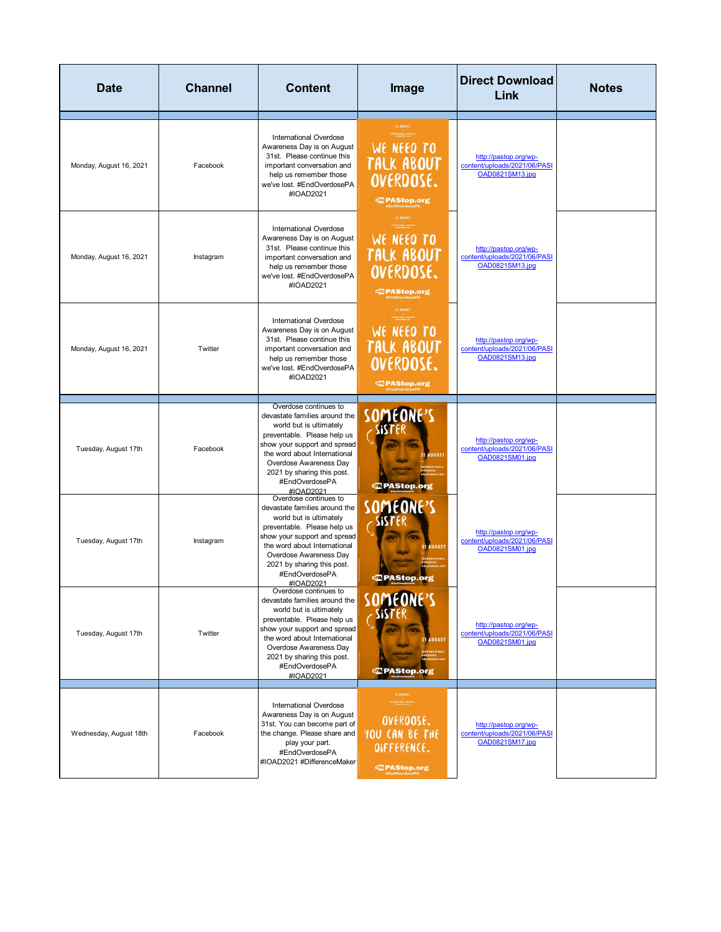| <b>Date</b>             | <b>Channel</b> | <b>Content</b>                                                                                                                                                                                                                                                          | Image                                                                             | <b>Direct Download</b><br>Link                                           | <b>Notes</b> |
|-------------------------|----------------|-------------------------------------------------------------------------------------------------------------------------------------------------------------------------------------------------------------------------------------------------------------------------|-----------------------------------------------------------------------------------|--------------------------------------------------------------------------|--------------|
| Monday, August 16, 2021 | Facebook       | International Overdose<br>Awareness Day is on August<br>31st. Please continue this<br>important conversation and<br>help us remember those<br>we've lost. #EndOverdosePA<br>#IOAD2021                                                                                   | 31 AUGUST<br>WE NEED TO<br>TALK ABOUT<br>OVERDOSE.<br><b>亚 PAStop.org</b>         | http://pastop.org/wp-<br>content/uploads/2021/06/PASI<br>OAD0821SM13.jpg |              |
| Monday, August 16, 2021 | Instagram      | International Overdose<br>Awareness Day is on August<br>31st. Please continue this<br>important conversation and<br>help us remember those<br>we've lost. #EndOverdosePA<br>#IOAD2021                                                                                   | 31 AUGUST<br>WE NEED TO<br>TALK ABOUT<br>OVERDOSE.<br>$@$ PAStop.org              | http://pastop.org/wp-<br>content/uploads/2021/06/PASI<br>OAD0821SM13.jpg |              |
| Monday, August 16, 2021 | Twitter        | <b>International Overdose</b><br>Awareness Day is on August<br>31st. Please continue this<br>important conversation and<br>help us remember those<br>we've lost. #EndOverdosePA<br>#IOAD2021                                                                            | 31 AUGUST<br>WE NEED TO<br>TALK ABOUT<br>OVERDOSE.<br><b>Expanding</b> PAStop.org | http://pastop.org/wp-<br>content/uploads/2021/06/PASI<br>OAD0821SM13.jpg |              |
| Tuesday, August 17th    | Facebook       | Overdose continues to<br>devastate families around the<br>world but is ultimately<br>preventable. Please help us<br>show your support and spread<br>the word about International<br>Overdose Awareness Day<br>2021 by sharing this post.<br>#EndOverdosePA<br>#IOAD2021 | SOMEONE'S<br><b>AUGUST</b><br><b><i><b>El PAStop.org</b></i></b>                  | http://pastop.org/wp-<br>content/uploads/2021/06/PASI<br>OAD0821SM01.jpg |              |
| Tuesday, August 17th    | Instagram      | Overdose continues to<br>devastate families around the<br>world but is ultimately<br>preventable. Please help us<br>show your support and spread<br>the word about International<br>Overdose Awareness Day<br>2021 by sharing this post.<br>#EndOverdosePA<br>#IOAD2021 | SOMEONE'S<br><b>31 AUGUST</b><br>CZ PAStop.org                                    | http://pastop.org/wp-<br>content/uploads/2021/06/PASI<br>OAD0821SM01.jpg |              |
| Tuesday, August 17th    | Twitter        | Overdose continues to<br>devastate families around the<br>world but is ultimately<br>preventable. Please help us<br>show your support and spread<br>the word about International<br>Overdose Awareness Day<br>2021 by sharing this post.<br>#EndOverdosePA<br>#IOAD2021 | SOMEONE'S<br><b>31 AUGUST</b><br>IOSE<br>ENESS DA'<br><b>Z</b> PAStop.org         | http://pastop.org/wp-<br>content/uploads/2021/06/PASI<br>OAD0821SM01.jpg |              |
| Wednesday, August 18th  | Facebook       | <b>International Overdose</b><br>Awareness Day is on August<br>31st. You can become part of<br>the change. Please share and<br>play your part.<br>#EndOverdosePA<br>#IOAD2021 #DifferenceMaker                                                                          | 31 AUGUST<br>OVERDOSE.<br>YOU CAN BE THE<br>DIFFERENCE.<br><b>CEN PAStop.org</b>  | http://pastop.org/wp-<br>content/uploads/2021/06/PASI<br>OAD0821SM17.jpg |              |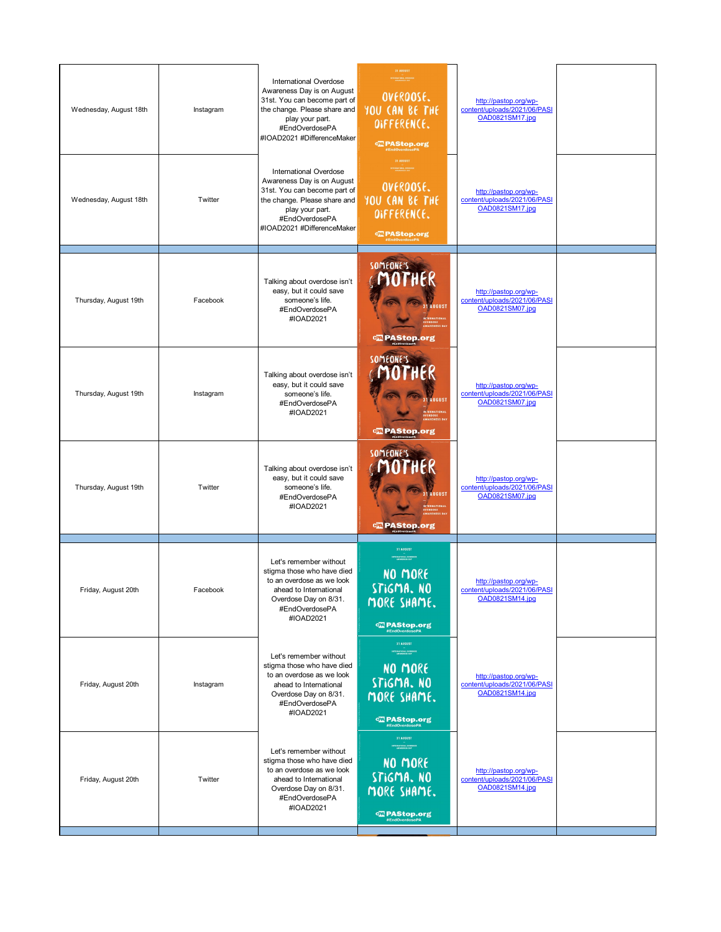| Wednesday, August 18th | Instagram | International Overdose<br>Awareness Day is on August<br>31st. You can become part of<br>the change. Please share and<br>play your part.<br>#EndOverdosePA<br>#IOAD2021 #DifferenceMaker | 31 AUGUST<br>OVERDOSE.<br>YOU CAN BE THE<br>DIFFERENCE.<br><b>&lt; PAStop.org</b><br>EndOverdosePA        | http://pastop.org/wp-<br>content/uploads/2021/06/PASI<br>OAD0821SM17.jpg |  |
|------------------------|-----------|-----------------------------------------------------------------------------------------------------------------------------------------------------------------------------------------|-----------------------------------------------------------------------------------------------------------|--------------------------------------------------------------------------|--|
| Wednesday, August 18th | Twitter   | International Overdose<br>Awareness Day is on August<br>31st. You can become part of<br>the change. Please share and<br>play your part.<br>#EndOverdosePA<br>#IOAD2021 #DifferenceMaker | 31 AUGUST<br>OVERDOSE.<br>YOU CAN BE THE<br>DIFFERENCE.                                                   | http://pastop.org/wp-<br>content/uploads/2021/06/PASI<br>OAD0821SM17.jpg |  |
| Thursday, August 19th  | Facebook  | Talking about overdose isn't<br>easy, but it could save<br>someone's life.<br>#EndOverdosePA<br>#IOAD2021                                                                               | SOMEONE'S<br><b>31 AUGUST</b><br><b>亚 PAStop.org</b>                                                      | http://pastop.org/wp-<br>content/uploads/2021/06/PASI<br>OAD0821SM07.jpg |  |
| Thursday, August 19th  | Instagram | Talking about overdose isn't<br>easy, but it could save<br>someone's life.<br>#EndOverdosePA<br>#IOAD2021                                                                               | <b>SOMEONE'S</b><br><b>31 AUGUST</b><br><b>INTERNATIONA</b><br><b>CRIPAStop.org</b>                       | http://pastop.org/wp-<br>content/uploads/2021/06/PASI<br>OAD0821SM07.jpg |  |
| Thursday, August 19th  | Twitter   | Talking about overdose isn't<br>easy, but it could save<br>someone's life.<br>#EndOverdosePA<br>#IOAD2021                                                                               | SOMEONE'S<br><b>31 AUGUST</b><br><b>Expenditual PAStop.org</b>                                            | http://pastop.org/wp-<br>content/uploads/2021/06/PASI<br>OAD0821SM07.jpg |  |
| Friday, August 20th    | Facebook  | Let's remember without<br>stigma those who have died<br>to an overdose as we look<br>ahead to International<br>Overdose Day on 8/31.<br>#EndOverdosePA<br>#IOAD2021                     | <b>31 AUGUST</b><br>NO MORE<br>STIGMA. NO<br>MORE SHAME.<br><b>Expanding PAStop.org</b><br>#EndOverdosePA | http://pastop.org/wp-<br>content/uploads/2021/06/PASI<br>OAD0821SM14.jpg |  |
| Friday, August 20th    | Instagram | Let's remember without<br>stigma those who have died<br>to an overdose as we look<br>ahead to International<br>Overdose Day on 8/31.<br>#EndOverdosePA<br>#IOAD2021                     | 31 AUGUST<br>NO MORE<br>STIGMA. NO<br>MORE SHAME.<br><b>Expanding PAStop.org</b><br><b>EndOverdosePA</b>  | http://pastop.org/wp-<br>content/uploads/2021/06/PASI<br>OAD0821SM14.jpg |  |
| Friday, August 20th    | Twitter   | Let's remember without<br>stigma those who have died<br>to an overdose as we look<br>ahead to International<br>Overdose Day on 8/31.<br>#EndOverdosePA<br>#IOAD2021                     | 31 AUGUST<br>NO MORE<br>STIGMA. NO<br>MORE SHAME.<br><b>EXPAStop.org</b><br>#EndOverdosePA                | http://pastop.org/wp-<br>content/uploads/2021/06/PASI<br>OAD0821SM14.jpg |  |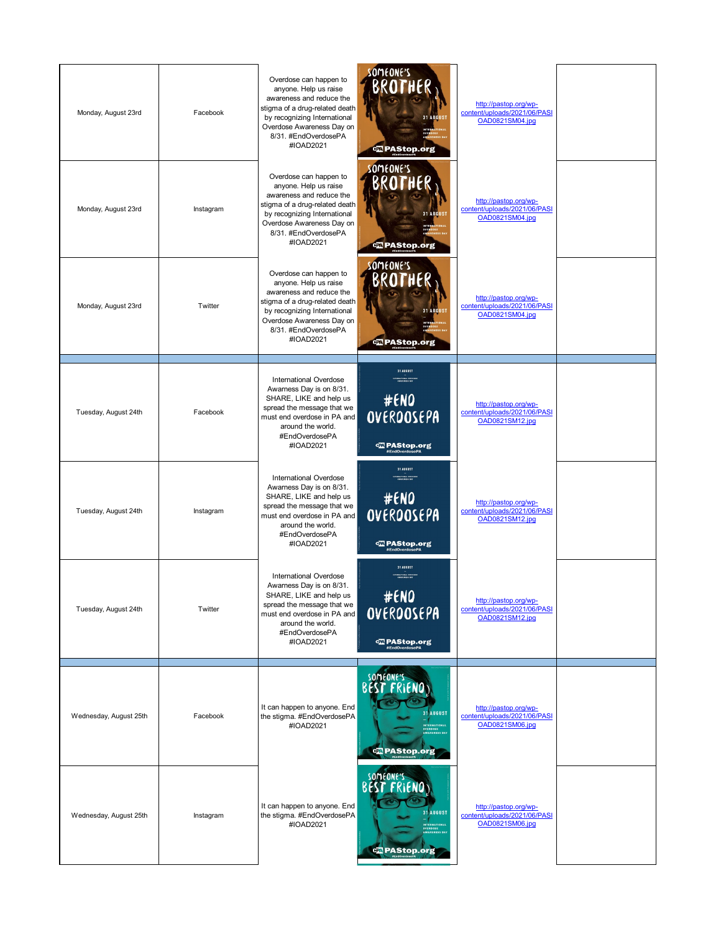| Monday, August 23rd    | Facebook  | Overdose can happen to<br>anyone. Help us raise<br>awareness and reduce the<br>stigma of a drug-related death<br>by recognizing International<br>Overdose Awareness Day on<br>8/31. #EndOverdosePA<br>#IOAD2021 | someone's<br>BROTHE<br><b>31 AUGUS</b><br><b>Expending PAStop.org</b>                                                 | http://pastop.org/wp-<br>content/uploads/2021/06/PASI<br>OAD0821SM04.jpg |  |
|------------------------|-----------|-----------------------------------------------------------------------------------------------------------------------------------------------------------------------------------------------------------------|-----------------------------------------------------------------------------------------------------------------------|--------------------------------------------------------------------------|--|
| Monday, August 23rd    | Instagram | Overdose can happen to<br>anyone. Help us raise<br>awareness and reduce the<br>stigma of a drug-related death<br>by recognizing International<br>Overdose Awareness Day on<br>8/31. #EndOverdosePA<br>#IOAD2021 | SOMEONE'S<br>BROTHER<br><b>31 AUGUS</b><br><b>Ex PAStop.org</b>                                                       | http://pastop.org/wp-<br>content/uploads/2021/06/PASI<br>OAD0821SM04.jpg |  |
| Monday, August 23rd    | Twitter   | Overdose can happen to<br>anyone. Help us raise<br>awareness and reduce the<br>stigma of a drug-related death<br>by recognizing International<br>Overdose Awareness Day on<br>8/31. #EndOverdosePA<br>#IOAD2021 | someone's<br>BROTHER<br><b>31 AUGUST</b><br><b>ez</b> PAStop.org                                                      | http://pastop.org/wp-<br>content/uploads/2021/06/PASI<br>OAD0821SM04.jpg |  |
| Tuesday, August 24th   | Facebook  | <b>International Overdose</b><br>Awarness Day is on 8/31.<br>SHARE, LIKE and help us<br>spread the message that we<br>must end overdose in PA and<br>around the world.<br>#EndOverdosePA<br>#IOAD2021           | 31 AUGUST<br><b>TERRATIONAL OVERES</b><br>#ENO<br>OVEROOSEPA<br><b>Com PAStop.org</b><br><i><b>#EndOverdosePA</b></i> | http://pastop.org/wp-<br>content/uploads/2021/06/PASI<br>OAD0821SM12.jpg |  |
| Tuesday, August 24th   | Instagram | <b>International Overdose</b><br>Awarness Day is on 8/31.<br>SHARE, LIKE and help us<br>spread the message that we<br>must end overdose in PA and<br>around the world.<br>#EndOverdosePA<br>#IOAD2021           | 31 AUGUST<br>#ENO<br>OVEROOSEPA<br><b>CELPAStop.org</b><br><i>*EndOverdosePA</i>                                      | http://pastop.org/wp-<br>content/uploads/2021/06/PASI<br>OAD0821SM12.jpg |  |
| Tuesday, August 24th   | Twitter   | <b>International Overdose</b><br>Awarness Day is on 8/31.<br>SHARE, LIKE and help us<br>spread the message that we<br>must end overdose in PA and<br>around the world.<br>#EndOverdosePA<br>#IOAD2021           | 31 AUGUST<br>#ENO<br>OVEROOSEPA<br><b>CEL PAStop.org</b><br><i>*EndOverdosePA</i>                                     | http://pastop.org/wp-<br>content/uploads/2021/06/PASI<br>OAD0821SM12.jpg |  |
| Wednesday, August 25th | Facebook  | It can happen to anyone. End<br>the stigma. #EndOverdosePA<br>#IOAD2021                                                                                                                                         | someone's<br><b>BEST FRIEND</b><br>31 AUGUST<br>INTERNATIONAL<br>OVERDOSE<br>AWARENESS DAY<br><b>E</b> PAStop.org     | http://pastop.org/wp-<br>content/uploads/2021/06/PASI<br>OAD0821SM06.jpg |  |
| Wednesday, August 25th | Instagram | It can happen to anyone. End<br>the stigma. #EndOverdosePA<br>#IOAD2021                                                                                                                                         | someone's<br><b>BEST FRIEND</b><br>31 AUGUST<br>INTERNATIONAL<br>OVERDOSE<br>AWARENESS DAY<br><b>C</b> PAStop.org     | http://pastop.org/wp-<br>content/uploads/2021/06/PASI<br>OAD0821SM06.jpg |  |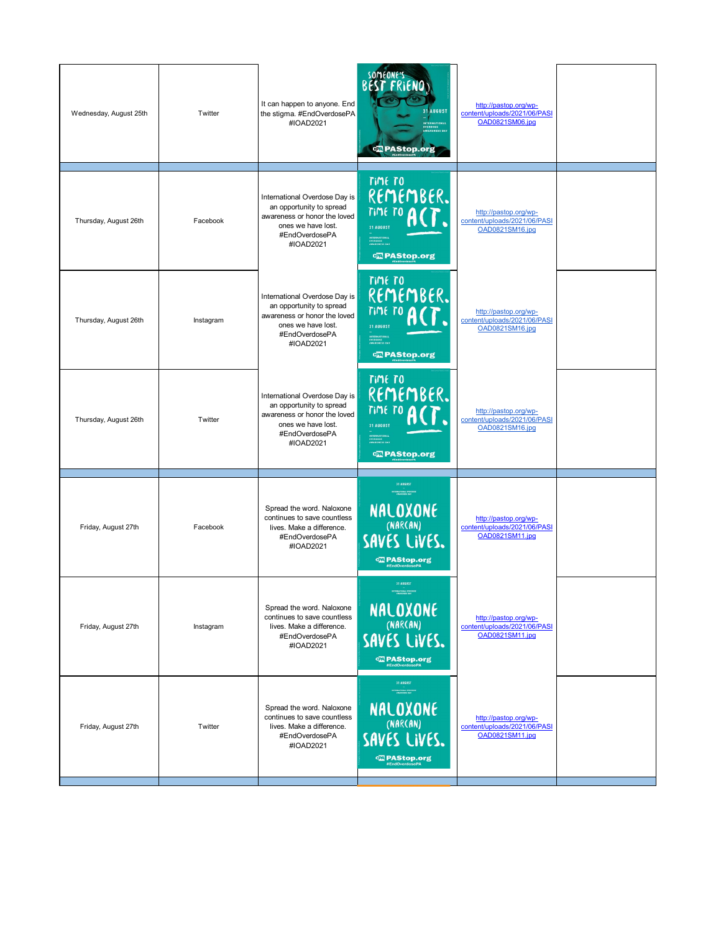| Wednesday, August 25th | Twitter   | It can happen to anyone. End<br>the stigma. #EndOverdosePA<br>#IOAD2021                                                                        | some one is<br>31 AUGUST<br>IVERDOSE<br>IWARENESS DAY<br><b>C</b> PAStop.org                                                                          | http://pastop.org/wp-<br>content/uploads/2021/06/PASI<br><b>OAD0821SM06.ipg</b> |  |
|------------------------|-----------|------------------------------------------------------------------------------------------------------------------------------------------------|-------------------------------------------------------------------------------------------------------------------------------------------------------|---------------------------------------------------------------------------------|--|
| Thursday, August 26th  | Facebook  | International Overdose Day is<br>an opportunity to spread<br>awareness or honor the loved<br>ones we have lost.<br>#EndOverdosePA<br>#IOAD2021 | <b>TIME TO</b><br>REMEMBER.<br>TIME TO<br><b>31 AUGUST</b><br>INTERNATIONAL<br>OVERBOSE<br>AWARENESS DAY<br><b>亚 PAStop.org</b>                       | http://pastop.org/wp-<br>content/uploads/2021/06/PASI<br>OAD0821SM16.jpg        |  |
| Thursday, August 26th  | Instagram | International Overdose Day is<br>an opportunity to spread<br>awareness or honor the loved<br>ones we have lost.<br>#EndOverdosePA<br>#IOAD2021 | <b>TIME TO</b><br>REMEMBER.<br>TIME TO<br>31 AUGUST<br>INTERNATIONAL<br>OVERDOSE<br>AWARENESS DAY<br><b>EXPAStop.org</b>                              | http://pastop.org/wp-<br>content/uploads/2021/06/PASI<br>OAD0821SM16.jpg        |  |
| Thursday, August 26th  | Twitter   | International Overdose Day is<br>an opportunity to spread<br>awareness or honor the loved<br>ones we have lost.<br>#EndOverdosePA<br>#IOAD2021 | <b>TIME TO</b><br>REMEMBER.<br><b>TIME TO</b><br>31 AUGUST<br>INTERNATIONAL<br>OVERDOSE<br>AWARENESS DAY<br><b><brastop.org< b=""></brastop.org<></b> | http://pastop.org/wp-<br>content/uploads/2021/06/PASI<br>OAD0821SM16.jpg        |  |
| Friday, August 27th    | Facebook  | Spread the word. Naloxone<br>continues to save countless<br>lives. Make a difference.<br>#EndOverdosePA<br>#IOAD2021                           | 31 AUGUST<br>NALOXONE<br>(NARCAN)<br>SAVES LIVES.<br><b>con</b> PAStop.org                                                                            | http://pastop.org/wp-<br>content/uploads/2021/06/PASI<br>OAD0821SM11.ipg        |  |
| Friday, August 27th    | Instagram | Spread the word. Naloxone<br>continues to save countless<br>lives. Make a difference.<br>#EndOverdosePA<br>#IOAD2021                           | 31 AUGUST<br>NALOXONE<br>(NARCAN)<br>SAVES LIVES.<br><b>Q2</b> PAStop.org<br>#EndOverdosePA                                                           | http://pastop.org/wp-<br>content/uploads/2021/06/PASI<br>OAD0821SM11.jpg        |  |
| Friday, August 27th    | Twitter   | Spread the word. Naloxone<br>continues to save countless<br>lives. Make a difference.<br>#EndOverdosePA<br>#IOAD2021                           | 31 AUGUST<br>TRAATIONAL OFFER<br>NALOXONE<br>(NARCAN)<br>SAVES LIVES.<br><b>Q2</b> PAStop.org<br>#EndOverdosePA                                       | http://pastop.org/wp-<br>content/uploads/2021/06/PASI<br>OAD0821SM11.jpg        |  |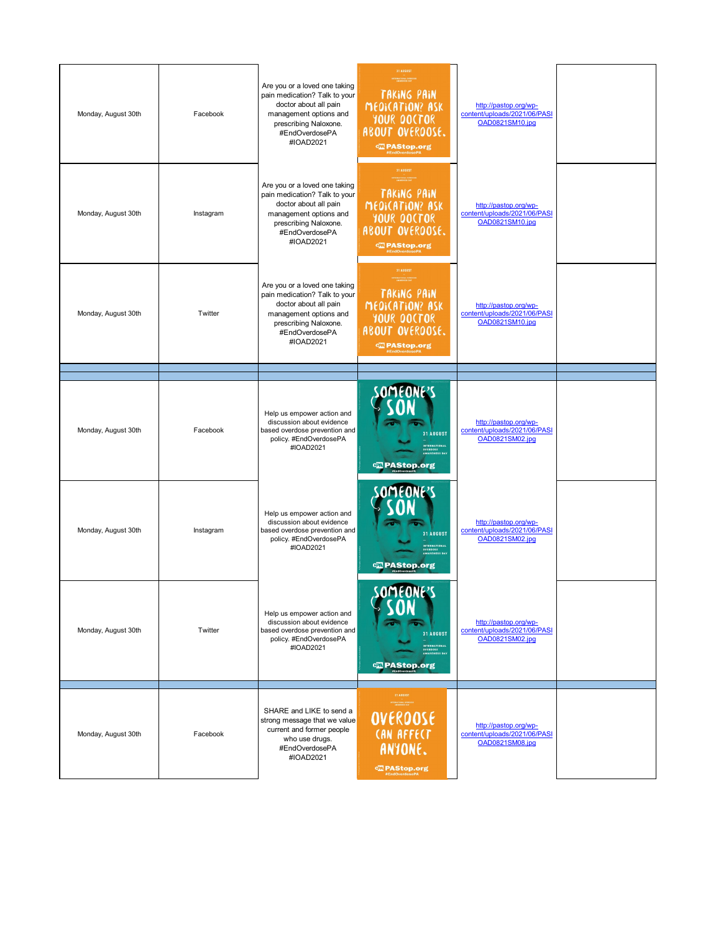| Monday, August 30th | Facebook  | Are you or a loved one taking<br>pain medication? Talk to your<br>doctor about all pain<br>management options and<br>prescribing Naloxone.<br>#EndOverdosePA<br>#IOAD2021 | 31 AUGUST<br>TAKING PAIN<br>MEDICATION? ASK<br>YOUR DOCTOR<br>ABOUT OVERDOSE.<br><b>Ex PAStop.org</b>                  | http://pastop.org/wp-<br>content/uploads/2021/06/PASI<br>OAD0821SM10.jpg |  |
|---------------------|-----------|---------------------------------------------------------------------------------------------------------------------------------------------------------------------------|------------------------------------------------------------------------------------------------------------------------|--------------------------------------------------------------------------|--|
| Monday, August 30th | Instagram | Are you or a loved one taking<br>pain medication? Talk to your<br>doctor about all pain<br>management options and<br>prescribing Naloxone.<br>#EndOverdosePA<br>#IOAD2021 | 31 AUGUST<br>TAKING PAIN<br>MEDICATION? ASK<br>YOUR DOCTOR<br>ABOUT OVERDOSE.<br><b>CO</b> PAStop.org                  | http://pastop.org/wp-<br>content/uploads/2021/06/PASI<br>OAD0821SM10.jpg |  |
| Monday, August 30th | Twitter   | Are you or a loved one taking<br>pain medication? Talk to your<br>doctor about all pain<br>management options and<br>prescribing Naloxone.<br>#EndOverdosePA<br>#IOAD2021 | 31 AUGUST<br><b>TRACTIONAL OVERES</b><br>TAKING PAIN<br>MEDICATION? ASK<br>YOUR DOCTOR<br>ABOUT OVERDOSE.              | http://pastop.org/wp-<br>content/uploads/2021/06/PASI<br>OAD0821SM10.jpg |  |
|                     |           |                                                                                                                                                                           |                                                                                                                        |                                                                          |  |
| Monday, August 30th | Facebook  | Help us empower action and<br>discussion about evidence<br>based overdose prevention and<br>policy. #EndOverdosePA<br>#IOAD2021                                           | SOMEONE'S<br>31 AUGUST<br><b>INTERNATIONAL</b><br>OVERDOSE<br>AWARENESS DAY<br><b>CE PAStop.org</b>                    | http://pastop.org/wp-<br>content/uploads/2021/06/PASI<br>OAD0821SM02.jpg |  |
| Monday, August 30th | Instagram | Help us empower action and<br>discussion about evidence<br>based overdose prevention and<br>policy. #EndOverdosePA<br>#IOAD2021                                           | 31 AUGUST<br>INTERNATIONAL<br>OVERDOSE<br>AWARENESS DAY<br><b>CE PAStop.org</b>                                        | http://pastop.org/wp-<br>content/uploads/2021/06/PASI<br>OAD0821SM02.ipg |  |
| Monday, August 30th | Twitter   | Help us empower action and<br>discussion about evidence<br>based overdose prevention and<br>policy. #EndOverdosePA<br>#IOAD2021                                           | COMCONCIC<br><b>ULICANE</b> )<br>31 AUGUST<br>INTERNATIONAL<br>OVERDOSE<br>AWARENESS DAY<br><b>Explorer</b> PAStop.org | http://pastop.org/wp-<br>content/uploads/2021/06/PASI<br>OAD0821SM02.jpg |  |
| Monday, August 30th | Facebook  | SHARE and LIKE to send a<br>strong message that we value<br>current and former people<br>who use drugs.<br>#EndOverdosePA<br>#IOAD2021                                    | 31 AUGUST<br>OVEROOSE<br><b>CAN AFFECT</b><br>ANYONE.<br><b>CEN PAStop.org</b>                                         | http://pastop.org/wp-<br>content/uploads/2021/06/PASI<br>OAD0821SM08.jpg |  |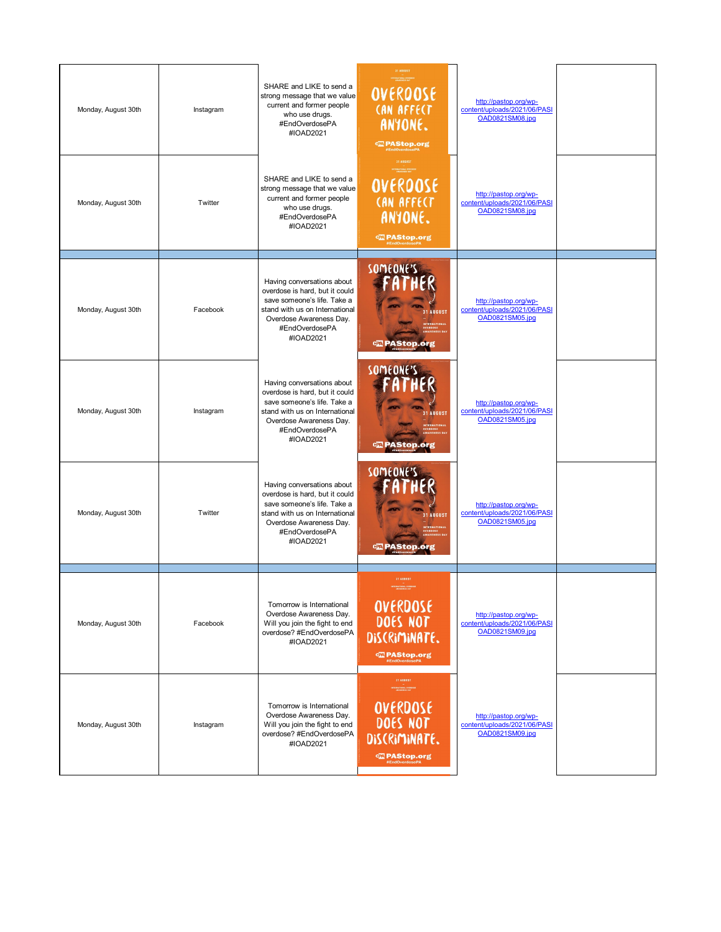| Monday, August 30th | Instagram | SHARE and LIKE to send a<br>strong message that we value<br>current and former people<br>who use drugs.<br>#EndOverdosePA<br>#IOAD2021                                                  | 31 AUGUST<br>OVERDOSE<br><b>CAN AFFECT</b><br>ANYONE.<br><b>亚PAStop.org</b>                                 | http://pastop.org/wp-<br>content/uploads/2021/06/PASI<br>OAD0821SM08.jpg        |  |
|---------------------|-----------|-----------------------------------------------------------------------------------------------------------------------------------------------------------------------------------------|-------------------------------------------------------------------------------------------------------------|---------------------------------------------------------------------------------|--|
| Monday, August 30th | Twitter   | SHARE and LIKE to send a<br>strong message that we value<br>current and former people<br>who use drugs.<br>#EndOverdosePA<br>#IOAD2021                                                  | 31 AUGUST<br>OVERDOSE<br><b>CAN AFFECT</b><br>ANYONE.<br><b>Expanding PAStop.org</b>                        | http://pastop.org/wp-<br>content/uploads/2021/06/PASI<br>OAD0821SM08.jpg        |  |
| Monday, August 30th | Facebook  | Having conversations about<br>overdose is hard, but it could<br>save someone's life. Take a<br>stand with us on International<br>Overdose Awareness Day.<br>#EndOverdosePA<br>#IOAD2021 | SOMEONE'S<br><b>31 AUGUST</b><br>्य PAStop.org                                                              | http://pastop.org/wp-<br>content/uploads/2021/06/PASI<br>OAD0821SM05.jpg        |  |
| Monday, August 30th | Instagram | Having conversations about<br>overdose is hard, but it could<br>save someone's life. Take a<br>stand with us on International<br>Overdose Awareness Day.<br>#EndOverdosePA<br>#IOAD2021 | SOMEONE'S<br><b>AUGUST</b><br><b>TERNATIONAL</b><br><br>IESS DA<br>o PAStop.org                             | http://pastop.org/wp-<br>content/uploads/2021/06/PASI<br>OAD0821SM05.jpg        |  |
| Monday, August 30th | Twitter   | Having conversations about<br>overdose is hard, but it could<br>save someone's life. Take a<br>stand with us on International<br>Overdose Awareness Day.<br>#EndOverdosePA<br>#IOAD2021 | SOMEONE'S<br><b>31 AUGUST</b><br><b>NTERNATIONAL</b><br>ROOSE<br>LRENESS DA'<br><b>PAStop.org</b>           | http://pastop.org/wp-<br>content/uploads/2021/06/PASI<br><b>OAD0821SM05.ipg</b> |  |
| Monday, August 30th | Facebook  | Tomorrow is International<br>Overdose Awareness Day.<br>Will you join the fight to end<br>overdose? #EndOverdosePA<br>#IOAD2021                                                         | <b>31 AUGUST</b><br>OVERDOSE<br>DOES NOT<br>DISCRIMINATE.<br><b>CEN PAStop.org</b><br><i>NEndOverdosePA</i> | http://pastop.org/wp-<br>content/uploads/2021/06/PASI<br>OAD0821SM09.jpg        |  |
| Monday, August 30th | Instagram | Tomorrow is International<br>Overdose Awareness Day.<br>Will you join the fight to end<br>overdose? #EndOverdosePA<br>#IOAD2021                                                         | 31 AUGUST<br>OVERDOSE<br>DOES NOT<br>DISCRIMINATE.<br><b>CEN PAStop.org</b><br><i><b>#EndOverdosePA</b></i> | http://pastop.org/wp-<br>content/uploads/2021/06/PASI<br>OAD0821SM09.jpg        |  |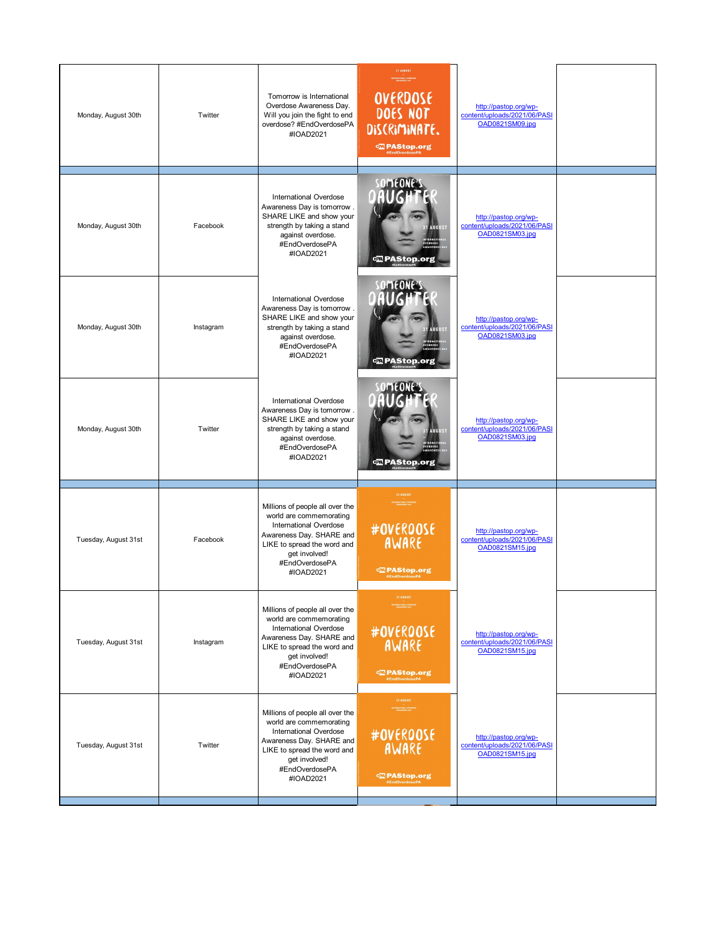| Monday, August 30th  | Twitter   | Tomorrow is International<br>Overdose Awareness Day.<br>Will you join the fight to end<br>overdose? #EndOverdosePA<br>#IOAD2021                                                                        | 31 AUGUST<br>OVERDOSE<br>DOES NOT<br>DISCRIMINATE.<br><b><wipastop.org< b=""></wipastop.org<></b>                       | http://pastop.org/wp-<br>content/uploads/2021/06/PASI<br>OAD0821SM09.jpg |  |
|----------------------|-----------|--------------------------------------------------------------------------------------------------------------------------------------------------------------------------------------------------------|-------------------------------------------------------------------------------------------------------------------------|--------------------------------------------------------------------------|--|
| Monday, August 30th  | Facebook  | <b>International Overdose</b><br>Awareness Day is tomorrow.<br>SHARE LIKE and show your<br>strength by taking a stand<br>against overdose.<br>#EndOverdosePA<br>#IOAD2021                              | <b>T</b> PAStop.org                                                                                                     | http://pastop.org/wp-<br>content/uploads/2021/06/PASI<br>OAD0821SM03.jpg |  |
| Monday, August 30th  | Instagram | <b>International Overdose</b><br>Awareness Day is tomorrow.<br>SHARE LIKE and show your<br>strength by taking a stand<br>against overdose.<br>#EndOverdosePA<br>#IOAD2021                              | <b>Expanding</b> PAStop.org                                                                                             | http://pastop.org/wp-<br>content/uploads/2021/06/PASI<br>OAD0821SM03.jpg |  |
| Monday, August 30th  | Twitter   | <b>International Overdose</b><br>Awareness Day is tomorrow.<br>SHARE LIKE and show your<br>strength by taking a stand<br>against overdose.<br>#EndOverdosePA<br>#IOAD2021                              | <b>Expanding</b> PAStop.org                                                                                             | http://pastop.org/wp-<br>content/uploads/2021/06/PASI<br>OAD0821SM03.jpg |  |
| Tuesday, August 31st | Facebook  | Millions of people all over the<br>world are commemorating<br><b>International Overdose</b><br>Awareness Day. SHARE and<br>LIKE to spread the word and<br>get involved!<br>#EndOverdosePA<br>#IOAD2021 | 31 AUGUST<br>#OVERDOSE<br>AWARE<br><b><wipastop.org< b=""></wipastop.org<></b>                                          | http://pastop.org/wp-<br>content/uploads/2021/06/PASI<br>OAD0821SM15.jpg |  |
| Tuesday, August 31st | Instagram | Millions of people all over the<br>world are commemorating<br><b>International Overdose</b><br>Awareness Day. SHARE and<br>LIKE to spread the word and<br>get involved!<br>#EndOverdosePA<br>#IOAD2021 | 31 AUGUST<br>TERNATIONAL OVERS<br>#OVERDOSE<br>AWARE<br><b>亚 PAStop.org</b><br>#EndOverdosePA                           | http://pastop.org/wp-<br>content/uploads/2021/06/PASI<br>OAD0821SM15.jpg |  |
| Tuesday, August 31st | Twitter   | Millions of people all over the<br>world are commemorating<br><b>International Overdose</b><br>Awareness Day. SHARE and<br>LIKE to spread the word and<br>get involved!<br>#EndOverdosePA<br>#IOAD2021 | 31 AUGUST<br>.<br>ENGRESS JANUARY<br>#OVERDOSE<br>AWARE<br><b><frastop.org< b=""><br/>#EndOverdosePA</frastop.org<></b> | http://pastop.org/wp-<br>content/uploads/2021/06/PASI<br>OAD0821SM15.jpg |  |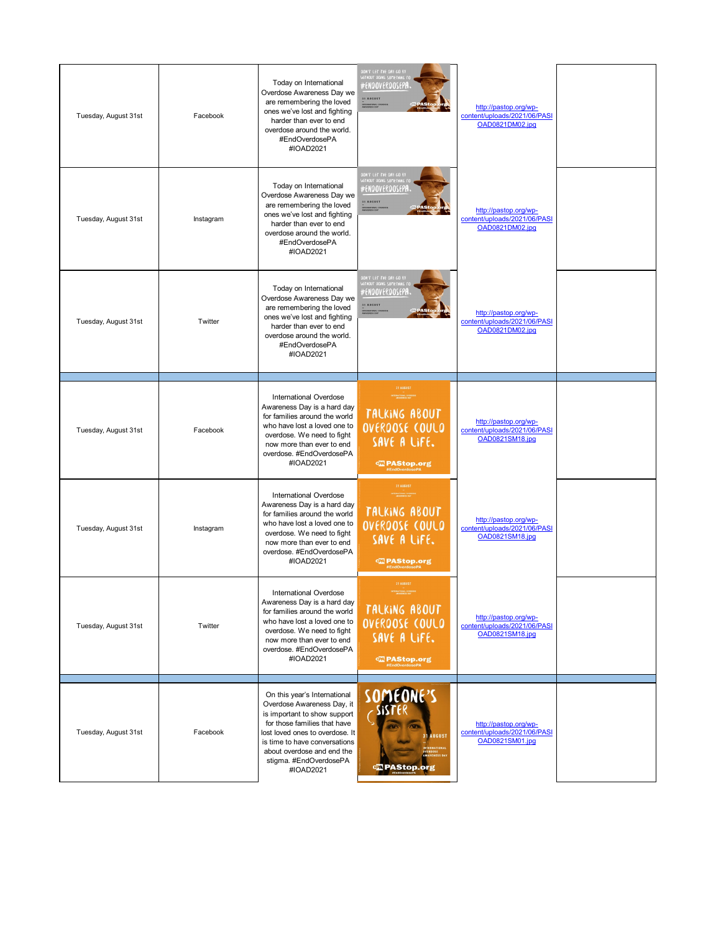| Tuesday, August 31st | Facebook  | Today on International<br>Overdose Awareness Day we<br>are remembering the loved<br>ones we've lost and fighting<br>harder than ever to end<br>overdose around the world.<br>#EndOverdosePA<br>#IOAD2021                                                            | .<br>DON'T LET THE DAY GO 81<br>JATHOUT DOING SOMETHING<br>#ENOOVEROOSEPA<br>31 AUGUST<br><b>DEATHNAL CHE</b>                        | http://pastop.org/wp-<br>content/uploads/2021/06/PASI<br>OAD0821DM02.jpg |  |
|----------------------|-----------|---------------------------------------------------------------------------------------------------------------------------------------------------------------------------------------------------------------------------------------------------------------------|--------------------------------------------------------------------------------------------------------------------------------------|--------------------------------------------------------------------------|--|
| Tuesday, August 31st | Instagram | Today on International<br>Overdose Awareness Day we<br>are remembering the loved<br>ones we've lost and fighting<br>harder than ever to end<br>overdose around the world.<br>#EndOverdosePA<br>#IOAD2021                                                            | <b>OON'T LET THE ORY GO BY</b><br>#ENOOVEROOSEPA<br>31 AUGUST<br>INTERNATIONAL C                                                     | http://pastop.org/wp-<br>content/uploads/2021/06/PASI<br>OAD0821DM02.jpg |  |
| Tuesday, August 31st | Twitter   | Today on International<br>Overdose Awareness Day we<br>are remembering the loved<br>ones we've lost and fighting<br>harder than ever to end<br>overdose around the world.<br>#EndOverdosePA<br>#IOAD2021                                                            | OON'T LET THE OAY GO BY<br>#ENOOVEROOSEP <b>A</b><br>31 AUGUST<br><b>HAATIONAL COTT</b>                                              | http://pastop.org/wp-<br>content/uploads/2021/06/PASI<br>OAD0821DM02.ipg |  |
| Tuesday, August 31st | Facebook  | International Overdose<br>Awareness Day is a hard day<br>for families around the world<br>who have lost a loved one to<br>overdose. We need to fight<br>now more than ever to end<br>overdose. #EndOverdosePA<br>#IOAD2021                                          | 31 AUGUST<br>TERRATIONAL OVERDO<br>- AMARENESE DAY<br>TALKING ABOUT<br>OVERDOSE COULD<br>SAVE A LIFE.<br><b>Expanding PAStop.org</b> | http://pastop.org/wp-<br>content/uploads/2021/06/PASI<br>OAD0821SM18.jpg |  |
| Tuesday, August 31st | Instagram | International Overdose<br>Awareness Day is a hard day<br>for families around the world<br>who have lost a loved one to<br>overdose. We need to fight<br>now more than ever to end<br>overdose, #EndOverdosePA<br>#IOAD2021                                          | <b>31 AUGUST</b><br>TALKING ABOUT<br>OVERDOSE COULD<br>SAVE A LIFE.                                                                  | http://pastop.org/wp-<br>content/uploads/2021/06/PASI<br>OAD0821SM18.jpg |  |
| Tuesday, August 31st | Twitter   | International Overdose<br>Awareness Day is a hard day<br>for families around the world<br>who have lost a loved one to<br>overdose. We need to fight<br>now more than ever to end<br>overdose. #EndOverdosePA<br>#IOAD2021                                          | 31 AUGUST<br>TALKING ABOUT<br>OVERDOSE COULD<br>SAVE A LIFE.<br><b><media b="" pastop.org<=""></media></b>                           | http://pastop.org/wp-<br>content/uploads/2021/06/PASI<br>OAD0821SM18.jpg |  |
| Tuesday, August 31st | Facebook  | On this year's International<br>Overdose Awareness Day, it<br>is important to show support<br>for those families that have<br>lost loved ones to overdose. It<br>is time to have conversations<br>about overdose and end the<br>stigma. #EndOverdosePA<br>#IOAD2021 | SOMEONE'S<br><b>31 AUGUST</b><br><b>NTERNATIONA</b><br>OSE<br>INESS DAY<br><b>Expending PAStop.org</b>                               | http://pastop.org/wp-<br>content/uploads/2021/06/PASI<br>OAD0821SM01.jpg |  |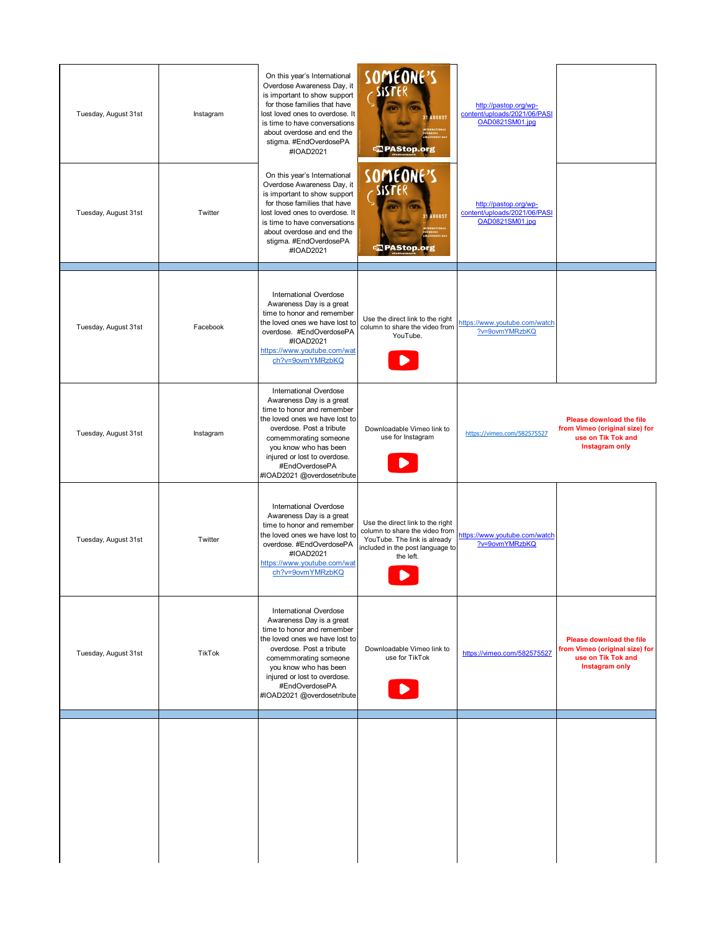| Tuesday, August 31st | Instagram | On this year's International<br>Overdose Awareness Day, it<br>is important to show support<br>for those families that have<br>lost loved ones to overdose. It<br>is time to have conversations<br>about overdose and end the<br>stigma. #EndOverdosePA<br>#IOAD2021                     | SOMEONE'S<br><b>31 AUGUST</b><br>E<br>ESS DAY<br><b>Expanding</b>                                                                                   | http://pastop.org/wp-<br>content/uploads/2021/06/PASI<br>OAD0821SM01.jpg |                                                                                                           |
|----------------------|-----------|-----------------------------------------------------------------------------------------------------------------------------------------------------------------------------------------------------------------------------------------------------------------------------------------|-----------------------------------------------------------------------------------------------------------------------------------------------------|--------------------------------------------------------------------------|-----------------------------------------------------------------------------------------------------------|
| Tuesday, August 31st | Twitter   | On this year's International<br>Overdose Awareness Day, it<br>is important to show support<br>for those families that have<br>lost loved ones to overdose. It<br>is time to have conversations<br>about overdose and end the<br>stigma. #EndOverdosePA<br>#IOAD2021                     | SOMEONE'S<br><b>31 AUGUST</b><br><b>E</b><br>ESS DAY<br><b>Expanding</b>                                                                            | http://pastop.org/wp-<br>content/uploads/2021/06/PASI<br>OAD0821SM01.jpg |                                                                                                           |
| Tuesday, August 31st | Facebook  | <b>International Overdose</b><br>Awareness Day is a great<br>time to honor and remember<br>the loved ones we have lost to<br>overdose. #EndOverdosePA<br>#IOAD2021<br>https://www.youtube.com/wat<br>ch?v=9ovmYMRzbKQ                                                                   | Use the direct link to the right<br>column to share the video from<br>YouTube.                                                                      | https://www.youtube.com/watch<br>?v=9ovmYMRzbKQ                          |                                                                                                           |
| Tuesday, August 31st | Instagram | <b>International Overdose</b><br>Awareness Day is a great<br>time to honor and remember<br>the loved ones we have lost to<br>overdose. Post a tribute<br>comemmorating someone<br>you know who has been<br>injured or lost to overdose.<br>#EndOverdosePA<br>#IOAD2021 @overdosetribute | Downloadable Vimeo link to<br>use for Instagram                                                                                                     | https://vimeo.com/582575527                                              | <b>Please download the file</b><br>from Vimeo (original size) for<br>use on Tik Tok and<br>Instagram only |
| Tuesday, August 31st | Twitter   | <b>International Overdose</b><br>Awareness Day is a great<br>time to honor and remember<br>the loved ones we have lost to<br>overdose. #EndOverdosePA<br>#IOAD2021<br>https://www.youtube.com/wat<br>ch?v=9ovmYMRzbKQ                                                                   | Use the direct link to the right<br>column to share the video from<br>YouTube. The link is already<br>included in the post language to<br>the left. | https://www.youtube.com/watch<br>?v=9ovmYMRzbKQ                          |                                                                                                           |
| Tuesday, August 31st | TikTok    | <b>International Overdose</b><br>Awareness Day is a great<br>time to honor and remember<br>the loved ones we have lost to<br>overdose. Post a tribute<br>comemmorating someone<br>you know who has been<br>injured or lost to overdose.<br>#EndOverdosePA<br>#IOAD2021 @overdosetribute | Downloadable Vimeo link to<br>use for TikTok                                                                                                        | https://vimeo.com/582575527                                              | <b>Please download the file</b><br>from Vimeo (original size) for<br>use on Tik Tok and<br>Instagram only |
|                      |           |                                                                                                                                                                                                                                                                                         |                                                                                                                                                     |                                                                          |                                                                                                           |
|                      |           |                                                                                                                                                                                                                                                                                         |                                                                                                                                                     |                                                                          |                                                                                                           |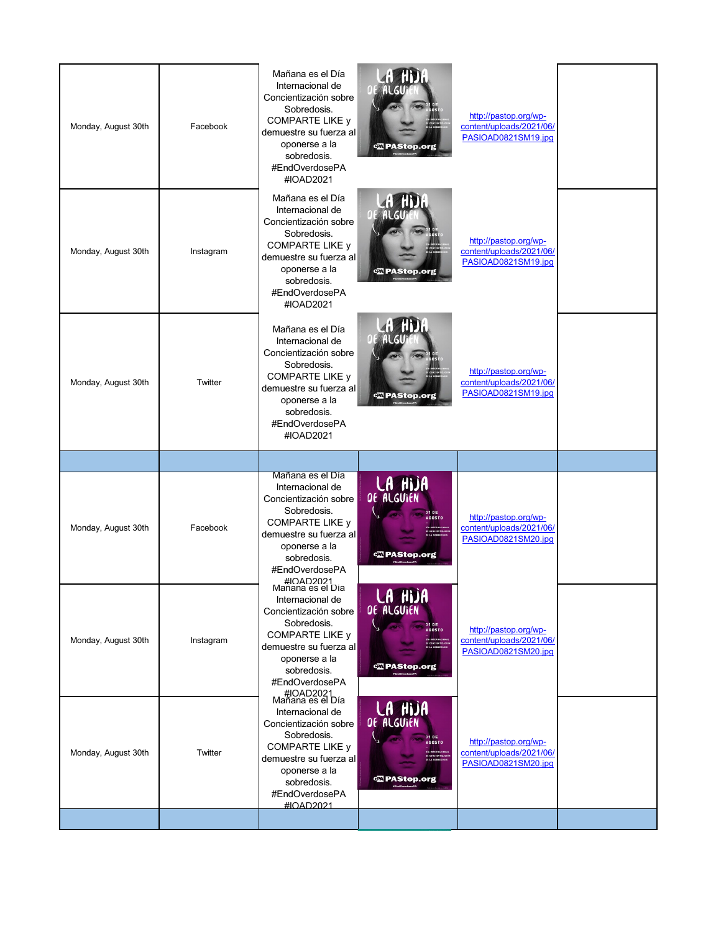| <b>A HDA</b><br>Mañana es el Día<br>Internacional de<br>Concientización sobre<br>Sobredosis.<br>http://pastop.org/wp-<br><b>COMPARTE LIKE y</b><br>content/uploads/2021/06/<br>Monday, August 30th<br>Instagram<br>demuestre su fuerza al<br>PASIOAD0821SM19.jpg<br>oponerse a la<br><b>Expanding PAStop.org</b><br>sobredosis.<br>#EndOverdosePA<br>#IOAD2021<br><b><i>AU HDA</i></b><br>Mañana es el Día<br>Internacional de<br>Concientización sobre<br>Sobredosis.<br>http://pastop.org/wp-<br><b>COMPARTE LIKE y</b><br>content/uploads/2021/06/<br>Monday, August 30th<br>Twitter<br>demuestre su fuerza al<br>PASIOAD0821SM19.jpg<br><b>Ex PAStop.org</b><br>oponerse a la<br>sobredosis.<br>#EndOverdosePA<br>#IOAD2021<br>Mañana es el Día<br><b>LA HIJA</b><br>DE ALGUIEN<br>Internacional de<br>Concientización sobre<br>Sobredosis.<br>http://pastop.org/wp-<br><b>AGOSTO</b><br><b>COMPARTE LIKE y</b><br>content/uploads/2021/06/<br>Monday, August 30th<br>Facebook<br>demuestre su fuerza al<br>PASIOAD0821SM20.jpg | Monday, August 30th | Facebook | Mañana es el Día<br>Internacional de<br>Concientización sobre<br>Sobredosis.<br><b>COMPARTE LIKE y</b><br>demuestre su fuerza al<br>oponerse a la<br>sobredosis.<br>#EndOverdosePA<br>#IOAD2021 | <b>Expanding PAStop.org</b>                                                           | http://pastop.org/wp-<br>content/uploads/2021/06/<br>PASIOAD0821SM19.jpg |  |
|-------------------------------------------------------------------------------------------------------------------------------------------------------------------------------------------------------------------------------------------------------------------------------------------------------------------------------------------------------------------------------------------------------------------------------------------------------------------------------------------------------------------------------------------------------------------------------------------------------------------------------------------------------------------------------------------------------------------------------------------------------------------------------------------------------------------------------------------------------------------------------------------------------------------------------------------------------------------------------------------------------------------------------------|---------------------|----------|-------------------------------------------------------------------------------------------------------------------------------------------------------------------------------------------------|---------------------------------------------------------------------------------------|--------------------------------------------------------------------------|--|
|                                                                                                                                                                                                                                                                                                                                                                                                                                                                                                                                                                                                                                                                                                                                                                                                                                                                                                                                                                                                                                     |                     |          |                                                                                                                                                                                                 |                                                                                       |                                                                          |  |
|                                                                                                                                                                                                                                                                                                                                                                                                                                                                                                                                                                                                                                                                                                                                                                                                                                                                                                                                                                                                                                     |                     |          |                                                                                                                                                                                                 |                                                                                       |                                                                          |  |
|                                                                                                                                                                                                                                                                                                                                                                                                                                                                                                                                                                                                                                                                                                                                                                                                                                                                                                                                                                                                                                     |                     |          |                                                                                                                                                                                                 |                                                                                       |                                                                          |  |
| <b>Expanding PAStop.org</b><br>sobredosis.<br>#EndOverdosePA                                                                                                                                                                                                                                                                                                                                                                                                                                                                                                                                                                                                                                                                                                                                                                                                                                                                                                                                                                        |                     |          | oponerse a la                                                                                                                                                                                   |                                                                                       |                                                                          |  |
| #IOAD2021<br>Mañana es el Día<br>LA HIJA<br>Internacional de<br>Concientización sobre<br>Sobredosis.<br>31 DE<br>http://pastop.org/wp-<br><b>AGOSTO</b><br><b>COMPARTE LIKE y</b><br>content/uploads/2021/06/<br>Monday, August 30th<br>Instagram<br>DE CONCIENTIZACIÓ<br>DE LA SCORECOSIS<br>demuestre su fuerza al<br>PASIOAD0821SM20.jpg<br>oponerse a la<br><b>EXPAStop.org</b><br>sobredosis.<br>#EndOverdosePA                                                                                                                                                                                                                                                                                                                                                                                                                                                                                                                                                                                                                |                     |          | #IOAD2021<br>Mañana es el Día                                                                                                                                                                   |                                                                                       |                                                                          |  |
|                                                                                                                                                                                                                                                                                                                                                                                                                                                                                                                                                                                                                                                                                                                                                                                                                                                                                                                                                                                                                                     | Monday, August 30th | Twitter  | Internacional de<br>Concientización sobre<br>Sobredosis.<br><b>COMPARTE LIKE y</b><br>demuestre su fuerza al<br>oponerse a la<br>sobredosis.                                                    | <b>LA HIJA</b><br>OF ALGUIEN<br>31 DE<br><b>AGOSTO</b><br><b>Expanding PAStop.org</b> | http://pastop.org/wp-<br>content/uploads/2021/06/<br>PASIOAD0821SM20.jpg |  |